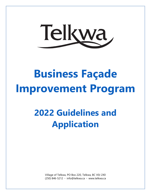

## **2022 Guidelines and Application**

Village of Telkwa, PO Box 220, Telkwa, BC V0J 2X0 (250) 846-5212 ◦ info@telkwa.ca ◦ www.telkwa.ca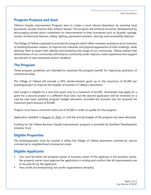#### **Program Purpose and Goal**

Telkwa's Façade Improvement Program aims to create a more vibrant downtown by assisting local businesses visually improve their exterior façade. This program will enhance economic development by encouraging private sector investment on improvements to their businesses such as façades, signage, murals, architectural features, siding, lighting, permanent planters, awnings and accessibility features.

The Village of Telkwa is pleased to provide this program which offers monetary assistance as an incentive to building/business owners, to improve the character and physical appearance of their buildings, while allowing them to assert their identity and bolstering the image of our community. Telkwa realizes that attractiveness of our community will enhance community pride, improve visitor experience and support recruitment of new businesses and/or residents.

#### **The Program**

These program guidelines are intended to maximize the program benefit for improving aesthetics of commercial areas.

The Village of Telkwa will provide a 50% reimbursement grant up to the maximum of \$5,000 per building/project to improve the façades of business in Telkwa's downtown.

Each project is eligible for a one time grant only to a maximum of \$5,000. Businesses may apply for a grant for a second project in a different fiscal year, but the second application will be reviewed on a case-by-case basis, pending program budget allocation, provided the business has not received the maximum grant amount of \$5,000.

Projects must have a minimum total cost of \$2,000 in order to qualify for the program.

Application deadline is August 31, 2022, or until the annual budget of the program has been allocated.

Funding for the Telkwa Business Façade Improvement program is provided by Northern Development Initiative Trust.

#### **Eligible Properties**

The building/project must be located in either the Village of Telkwa downtown commercial, service commercial or neighborhood commercial zones.

#### **Eligible Applicants**

- You must be either the property owner or business owner (if the applicant is the business owner, the property owner must approve the application in writing and confirm that all improvements are to be paid for by the applicant).
- Non-profit and enterprising non-profit organizations (tenants).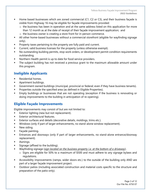- Home based businesses which are zoned commercial (C1, C2 or C3), and their business facade is visible from Highway 16 may be eligible for façade improvements provided:
	- o the business has been in operation and at the same address listed on this application for more than 12 month as at the date of receipt of their façade improvement application; and
	- o the business owner is creating a store front for in-person commerce.
- All other home-based businesses without a commercial storefront (eligible for wayfinding signage only).
- Property taxes pertaining to the property are fully paid and current.
- Current, valid business licenses for the property (unless otherwise exempt).
- No outstanding building permits, stop work orders, or development permit condition requirements outstanding.
- Northern Health permit is up to date for food service providers.
- The subject building has not received a previous grant to the maximum allowable amount under this program.

#### **Ineligible Applicants**

- Residential homes.
- **E** Apartment buildings.
- Government owned buildings (municipal, provincial or federal; even if they have business tenants).
- Properties outside the specified area (as defined in Eligible Properties).
- Empty buildings or businesses that are not operating (exception if the business is renovating or doing improvements to the building in anticipation of re-opening).

#### **Eligible Façade Improvements**

Eligible improvements may consist of but are not limited to:

- Exterior lighting (new but not replacement).
- **Exterior architectural features.**
- **Exterior surfaces and details (decorative details, moldings, trims etc.).**
- Windows (only if part of larger enhancements, no stand-alone window replacement).
- **■** New siding.
- Façade painting.
- **Entrances and doorways (only if part of larger enhancements, no stand-alone entrance/doorway** replacement).
- **■** Awnings.
- Signage (affixed to the building).
- Wayfinding signage (*sign located on the business property i.e. at the bottom of a driveway*).
	- o Signs are eligible for 50% to a maximum of \$500 and must adhere to any signage bylaws and regulations.
- Accessibility improvements (ramps, wider doors etc.) to the outside of the building only AND are part of a larger façade improvement project.
- Outdoor patios (including associated construction and material costs specific to the structure and preparation of the patio only).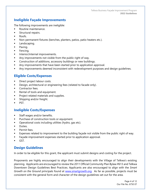#### **Ineligible Façade Improvements**

The following improvements are ineligible:

- Routine maintenance.
- **EXECUTE:** Structural repairs.
- Roofs.
- Non-permanent fixtures (benches, planters, patios, patio heaters etc.).
- **■** Landscaping.
- Paving.
- Fencing.
- **■** Interior/internal improvements.
- Any improvements not visible from the public right of way.
- Construction of additions, accessory buildings or new buildings.
- Any improvements that have been started prior to application approval.
- **•** Any improvements deemed inconsistent with redevelopment purposes and design guidelines.

#### **Eligible Costs/Expenses**

- Direct project labour costs.
- **EXED** Design, architectural or engineering fees (related to facade only).
- Contractor fees.
- Rental of tools and equipment.
- Project related materials and supplies.
- **■** Shipping and/or freight.
- PST.

#### **Ineligible Costs/Expenses**

- Staff wages and/or benefits.
- **•** Purchase of construction tools or equipment.
- Operational costs including utilities (hydro, gas etc).
- Duties.
- **■** Permit fees.
- **Expenses related to improvement to the building façade not visible from the public right of way.**
- Façade improvement expenses started prior to application approval.
- GST.

#### **Design Guidelines**

In order to be eligible for this grant, the applicant must submit designs and costing for the project.

Proponents are highly encouraged to align their developments with the Village of Telkwa's existing planning. Applicants are encouraged to review the 2011 Official Community Plan Bylaw #613 and Telkwa Downtown Design Guidelines Best Practices. Applicants are also encouraged to align with the *Smart Growth on the Ground* principals found at www.smartgrowth.org. As far as possible, projects must be consistent with the general form and character of the design guidelines set out for the area.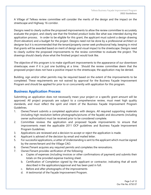A Village of Telkwa review committee will consider the merits of the design and the impact on the streetscape and Highway 16 corridor.

Designs need to clearly outline the proposed improvements to allow the review committee to accurately evaluate the project, and clearly see that the finished product looks like what was intended during the application process. In order to be eligible for this grant, the applicant must submit a design drawing (front elevation) and a budget for the project. Designs need not be done by a professional architect or designer but it is recommended that the tenant/property owner seek professional help, keeping in mind that grants will be awarded based on merit of design and visual impact to the streetscape. Designs need to clearly outline the proposed improvements to the review committee to evaluate the project. The drawings should clearly show what the finished project would look like.

The objective of this program is to make significant improvements to the appearance of our downtown streetscape, even if it is just one building at a time. Should the review committee deem that the proposed project does not have a positive impact to the streetscape, the application may be denied.

Building, sign and/or other permits may be required based on the extent of the improvements to be completed. These requirements are not waived by approval for the Business Façade Improvement Program and should be applied for prior to or concurrently with application for this program.

#### **Business Application Process**

Submitting an application does not necessarily mean your project or a specific grant amount will be approved. All project proposals are subject to a comprehensive review, must meet high quality standards, and must reflect the spirit and intent of the Business Façade Improvement Program Guidelines.

- 1. Owner/Tenant submits a completed application with designs. All required supporting materials (including high resolution before photographs/pictures of the façade) and documents (including owner authorization) must be received prior to be considered complete.
- 2. Committee reviews the application and proposed façade improvements to ensure that improvements meet the applicable 2011 OCP guidelines and Business Façade Improvement Program Guidelines.
- 3. Applications are reviewed and a decision to accept or reject the application is made.
- 4. Applicant is advised of the decision by email and mailed letter.
- 5. For successful applications, a Letter of Understanding is sent to the applicant which must be signed by the owner/tenant and the Village CAO.
- 6. Owner/Tenant acquires any required permits and completes the renovations.
- 7. Owner/Tenant provides verification of the following:
	- a. Copies of expenses (including invoices or other confirmations of payment) and submits their totals on the provided expense tracking sheet.
	- b. Certification of Completion signed by the applicant or contractor, indicating that all work described in the application/approval and has been paid in full.
	- c. Before and after photographs of the improvements
	- d. A testimonial of the Façade Improvement Program.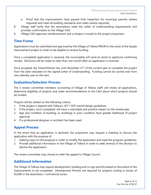- e. Proof that the improvements have passed final inspection for municipal permits (where required) and meet all building standards and codes (where required).
- 8. Village staff verify that the renovations meet the Letter of Understanding requirements and provides confirmation to the Village CAO.
- 9. Village CAO approves reimbursement and a cheque is issued to the project proponent.

#### **Time Frame**

Applications must be submitted and approved by the Village of Telkwa PRIOR to the onset of the façade improvement project in order to be eligible to receive funding.

Once a completed application is received, the municipality will send an email to applicant confirming receipt. Decisions will be made no later than one month after an application is received.

Once accepted, the Tenant/Owner has until December 31<sup>st</sup> of the current year to complete the project from the date indicated on the signed Letter of Understanding. Funding cannot be carried over from one calendar year to the next.

#### **Evaluation/Selection Process**

The 3 review committee members (consisting of Village of Telkwa staff) will review all applications, determine eligibility of projects and make recommendations to the CAO about which projects should be funded.

Projects will be ranked on the following criteria:

- 1. If the project is aligned with Telkwa's 2011 OCP overall design guidelines.
- 2. If the project, once completed, will have a noticeable and positive impact on the streetscape.
- 3. Age and condition of building i.e. buildings in poor condition have greater likelihood of project approval.
- 4. If a professional designer or architect has been used.

#### **Appeal Process**

In the event that an application is declined, the proponent may request a meeting to discuss the application with the purpose of:

- 1. Seeking input on the proposal in order to modify the application and meet the program guidelines.
- 2. Provide additional information to the Village of Telkwa in order to seek reversal of the decision to decline the application.

The review committee may choose to refer the appeal to Village Council.

#### **Additional Information**

The Village of Telkwa may require development, building and or sign permits based on the extent of the improvements to be completed. Development Permits are required for projects costing in excess of \$5,000 in the downtown / commercial zones.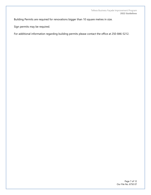Building Permits are required for renovations bigger than 10 square metres in size.

Sign permits may be required.

For additional information regarding building permits please contact the office at 250-846-5212.

Page 7 of 12 Our File No. 6750 07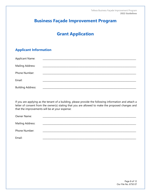## **Grant Application**

#### **Applicant Information**

| <b>Applicant Name:</b>   |  |  |  |
|--------------------------|--|--|--|
| Mailing Address:         |  |  |  |
| Phone Number:            |  |  |  |
| Email:                   |  |  |  |
| <b>Building Address:</b> |  |  |  |

If you are applying as the tenant of a building, please provide the following information and attach a letter of consent from the owner(s) stating that you are allowed to make the proposed changes and that the improvements will be at your expense:

| Owner Name:      |  |
|------------------|--|
| Mailing Address: |  |
| Phone Number:    |  |
| Email:           |  |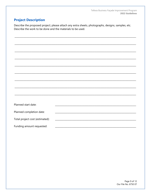## **Project Description**

Describe the proposed project; please attach any extra sheets, photographs, designs, samples, etc. Describe the work to be done and the materials to be used.

|                                 | <u> 1989 - John Harry Harry Harry Harry Harry Harry Harry Harry Harry Harry Harry Harry Harry Harry Harry Harry H</u> |  |  |
|---------------------------------|-----------------------------------------------------------------------------------------------------------------------|--|--|
|                                 |                                                                                                                       |  |  |
|                                 |                                                                                                                       |  |  |
| Planned start date:             |                                                                                                                       |  |  |
| Planned completion date:        |                                                                                                                       |  |  |
| Total project cost (estimated): |                                                                                                                       |  |  |
| Funding amount requested:       |                                                                                                                       |  |  |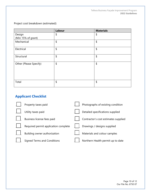Project cost breakdown (estimated):

|                        | Labour | <b>Materials</b> |
|------------------------|--------|------------------|
| Design                 | \$     | \$               |
| (Min 15% of grant)     |        |                  |
| Mechanical             | \$     | \$               |
| Electrical             | \$     | \$               |
| Structural             | \$     | \$               |
| Other (Please Specify) | \$     | \$               |
| Total                  | \$     | \$               |

## **Applicant Checklist**

| Property taxes paid                  | Photographs of existing condition    |
|--------------------------------------|--------------------------------------|
| Utility taxes paid                   | Detailed specifications supplied     |
| Business license fees paid           | Contractor's cost estimates supplied |
| Required permit application complete | Drawings / designs supplied          |
| Building owner authorization         | Materials and colour samples         |
| <b>Signed Terms and Conditions</b>   | Northern Health permit up to date    |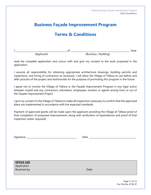## **Terms & Conditions**

I, \_\_\_\_\_\_\_\_\_\_\_\_\_\_\_\_\_\_\_\_\_\_\_\_\_\_\_\_\_\_\_\_\_\_\_\_\_\_\_\_\_\_\_\_\_\_of \_\_\_\_\_\_\_\_\_\_\_\_\_\_\_\_\_\_\_\_\_\_\_\_\_\_\_\_\_\_\_\_\_\_\_\_\_\_\_\_\_\_\_\_\_\_\_\_\_\_\_\_ have

(Applicant) (Business / Building)

read the complete application and concur with and give my consent to the work proposed in the application.

I assume all responsibility for obtaining appropriate architectural drawings, building permits and inspections, and hiring of contractors as necessary. I will allow the Village of Telkwa to use before and after pictures of the project and testimonials for the purpose of promoting this program in the future.

I agree not to involve the Village of Telkwa or the Façade Improvement Program in any legal action between myself and any contractors, estimators, employees, workers or agents arising from or out of the Façade Improvement Project.

I give my consent to the Village of Telkwa to make all inspections necessary to confirm that the approved plans are implemented in accordance with the expected standards.

Payment of approved grants will be made upon the applicant providing the Village of Telkwa proof of final completion of proposed improvements, along with verification of expenditures and proof of final inspection (when required).

| Signature |  |  |  |
|-----------|--|--|--|
|           |  |  |  |
|           |  |  |  |

Date  $\Box$ 

**OFFICE USE** Application

Received by: Note: The Contract of the Contract of the Date: Date:

Page 11 of 12 Our File No. 6750 07